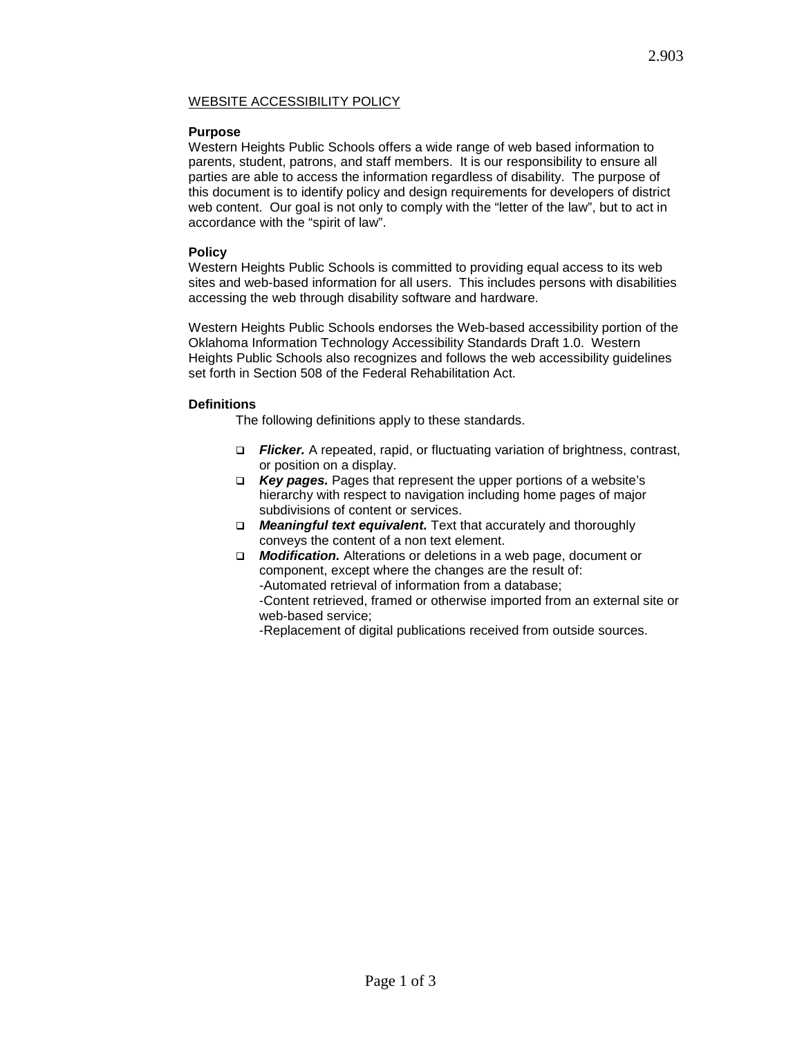# WEBSITE ACCESSIBILITY POLICY

## **Purpose**

Western Heights Public Schools offers a wide range of web based information to parents, student, patrons, and staff members. It is our responsibility to ensure all parties are able to access the information regardless of disability. The purpose of this document is to identify policy and design requirements for developers of district web content. Our goal is not only to comply with the "letter of the law", but to act in accordance with the "spirit of law".

### **Policy**

Western Heights Public Schools is committed to providing equal access to its web sites and web-based information for all users. This includes persons with disabilities accessing the web through disability software and hardware.

Western Heights Public Schools endorses the Web-based accessibility portion of the Oklahoma Information Technology Accessibility Standards Draft 1.0. Western Heights Public Schools also recognizes and follows the web accessibility guidelines set forth in Section 508 of the Federal Rehabilitation Act.

### **Definitions**

The following definitions apply to these standards.

- *Flicker.* A repeated, rapid, or fluctuating variation of brightness, contrast, or position on a display.
- *Key pages.* Pages that represent the upper portions of a website's hierarchy with respect to navigation including home pages of major subdivisions of content or services.
- *Meaningful text equivalent.* Text that accurately and thoroughly conveys the content of a non text element.
- *Modification.* Alterations or deletions in a web page, document or component, except where the changes are the result of: -Automated retrieval of information from a database; -Content retrieved, framed or otherwise imported from an external site or web-based service;

-Replacement of digital publications received from outside sources.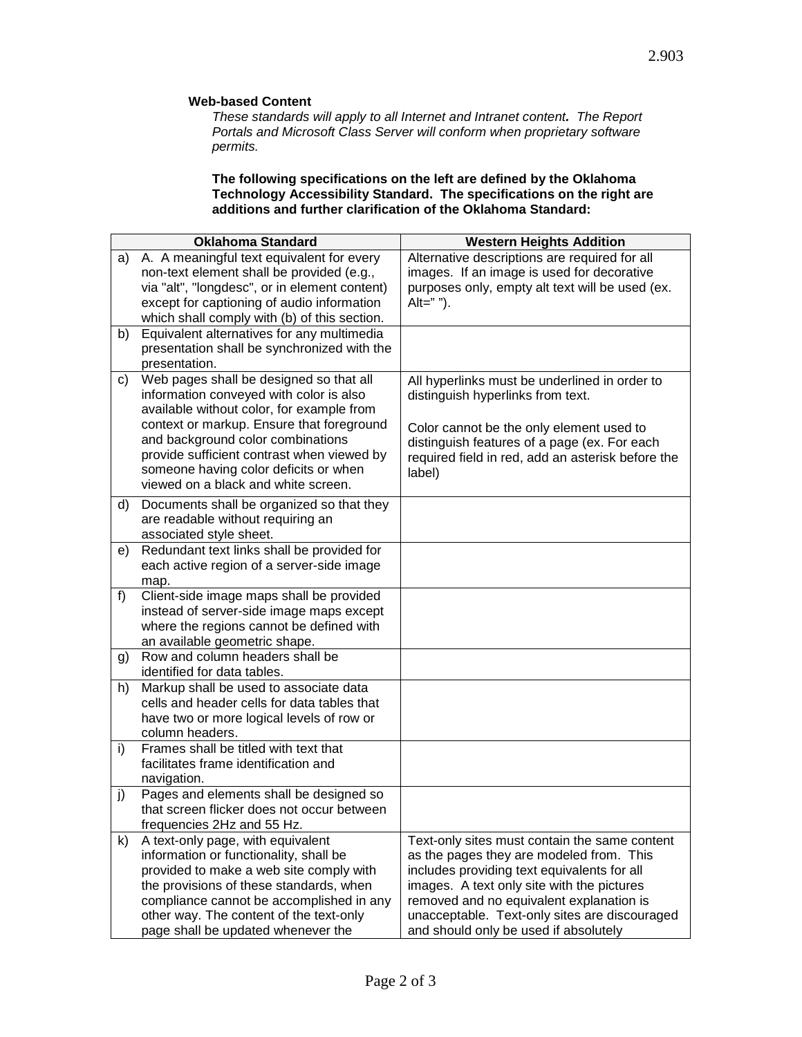#### **Web-based Content**

*These standards will apply to all Internet and Intranet content. The Report Portals and Microsoft Class Server will conform when proprietary software permits.*

#### **The following specifications on the left are defined by the Oklahoma Technology Accessibility Standard. The specifications on the right are additions and further clarification of the Oklahoma Standard:**

|              | <b>Oklahoma Standard</b>                                                                                                                                                                                                                                                                       | <b>Western Heights Addition</b>                                                                                                                                                                                                                                                                                              |
|--------------|------------------------------------------------------------------------------------------------------------------------------------------------------------------------------------------------------------------------------------------------------------------------------------------------|------------------------------------------------------------------------------------------------------------------------------------------------------------------------------------------------------------------------------------------------------------------------------------------------------------------------------|
| a)           | A. A meaningful text equivalent for every<br>non-text element shall be provided (e.g.,<br>via "alt", "longdesc", or in element content)<br>except for captioning of audio information<br>which shall comply with (b) of this section.                                                          | Alternative descriptions are required for all<br>images. If an image is used for decorative<br>purposes only, empty alt text will be used (ex.<br>Alt=" $"$ ").                                                                                                                                                              |
| b)           | Equivalent alternatives for any multimedia<br>presentation shall be synchronized with the<br>presentation.                                                                                                                                                                                     |                                                                                                                                                                                                                                                                                                                              |
| C)           | Web pages shall be designed so that all<br>information conveyed with color is also<br>available without color, for example from                                                                                                                                                                | All hyperlinks must be underlined in order to<br>distinguish hyperlinks from text.                                                                                                                                                                                                                                           |
|              | context or markup. Ensure that foreground<br>and background color combinations<br>provide sufficient contrast when viewed by<br>someone having color deficits or when<br>viewed on a black and white screen.                                                                                   | Color cannot be the only element used to<br>distinguish features of a page (ex. For each<br>required field in red, add an asterisk before the<br>label)                                                                                                                                                                      |
| d)           | Documents shall be organized so that they<br>are readable without requiring an<br>associated style sheet.                                                                                                                                                                                      |                                                                                                                                                                                                                                                                                                                              |
| e)           | Redundant text links shall be provided for<br>each active region of a server-side image<br>map.                                                                                                                                                                                                |                                                                                                                                                                                                                                                                                                                              |
| f)           | Client-side image maps shall be provided<br>instead of server-side image maps except<br>where the regions cannot be defined with<br>an available geometric shape.                                                                                                                              |                                                                                                                                                                                                                                                                                                                              |
| g)           | Row and column headers shall be<br>identified for data tables.                                                                                                                                                                                                                                 |                                                                                                                                                                                                                                                                                                                              |
| h)           | Markup shall be used to associate data<br>cells and header cells for data tables that<br>have two or more logical levels of row or<br>column headers.                                                                                                                                          |                                                                                                                                                                                                                                                                                                                              |
| i)           | Frames shall be titled with text that<br>facilitates frame identification and<br>navigation.                                                                                                                                                                                                   |                                                                                                                                                                                                                                                                                                                              |
| j)           | Pages and elements shall be designed so<br>that screen flicker does not occur between<br>frequencies 2Hz and 55 Hz.                                                                                                                                                                            |                                                                                                                                                                                                                                                                                                                              |
| $\mathsf{k}$ | A text-only page, with equivalent<br>information or functionality, shall be<br>provided to make a web site comply with<br>the provisions of these standards, when<br>compliance cannot be accomplished in any<br>other way. The content of the text-only<br>page shall be updated whenever the | Text-only sites must contain the same content<br>as the pages they are modeled from. This<br>includes providing text equivalents for all<br>images. A text only site with the pictures<br>removed and no equivalent explanation is<br>unacceptable. Text-only sites are discouraged<br>and should only be used if absolutely |